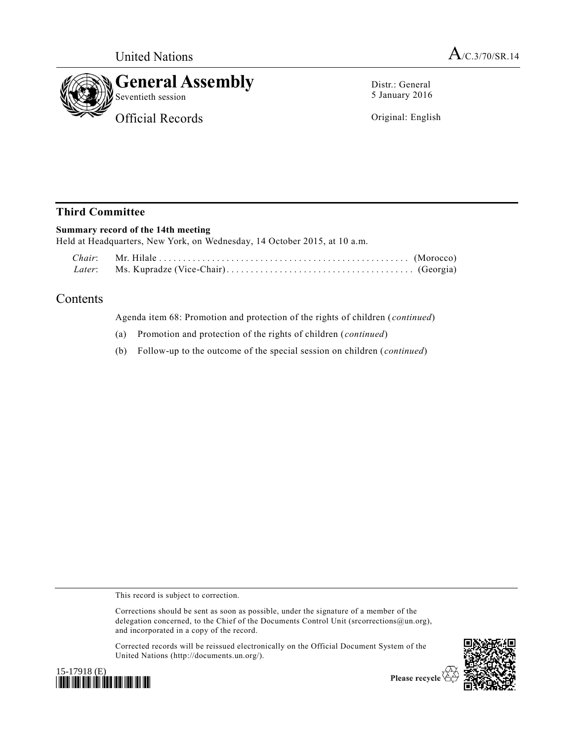

Distr.: General 5 January 2016

Original: English

## **Third Committee**

## **Summary record of the 14th meeting**

Held at Headquarters, New York, on Wednesday, 14 October 2015, at 10 a.m.

## Contents

Agenda item 68: Promotion and protection of the rights of children (*continued*)

- (a) Promotion and protection of the rights of children (*continued*)
- (b) Follow-up to the outcome of the special session on children (*continued*)

This record is subject to correction.

Corrections should be sent as soon as possible, under the signature of a member of the delegation concerned, to the Chief of the Documents Control Unit (srcorrections@un.org), and incorporated in a copy of the record.

Corrected records will be reissued electronically on the Official Document System of the United Nations (http://documents.un.org/).





Please recycle  $\mathfrak E$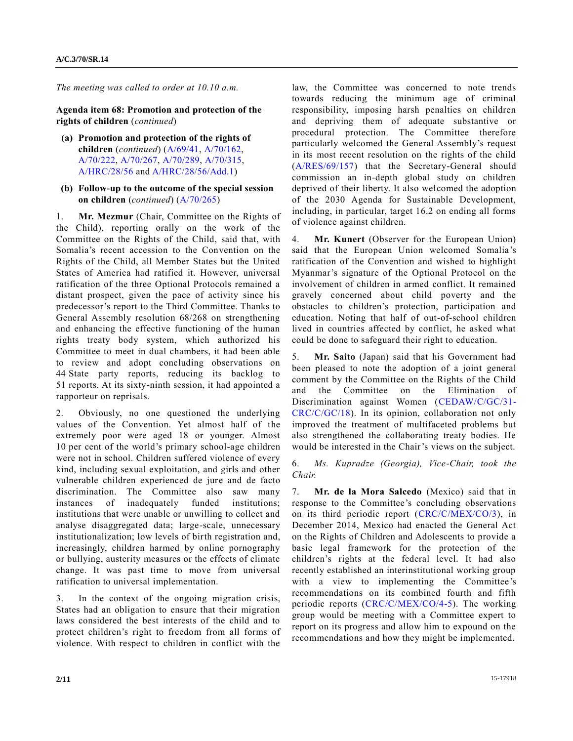*The meeting was called to order at 10.10 a.m.*

**Agenda item 68: Promotion and protection of the rights of children** (*continued*)

- **(a) Promotion and protection of the rights of children** (*continued*) [\(A/69/41,](http://undocs.org/A/69/41) [A/70/162,](http://undocs.org/A/70/162) [A/70/222,](http://undocs.org/A/70/222) [A/70/267,](http://undocs.org/A/70/267) [A/70/289,](http://undocs.org/A/70/289) [A/70/315,](http://undocs.org/A/70/315) [A/HRC/28/56](http://undocs.org/A/HRC/28/56) an[d A/HRC/28/56/Add.1\)](http://undocs.org/A/HRC/28/56/Add.1)
- **(b) Follow-up to the outcome of the special session on children** (*continued*) [\(A/70/265\)](http://undocs.org/A/70/265)

1. **Mr. Mezmur** (Chair, Committee on the Rights of the Child), reporting orally on the work of the Committee on the Rights of the Child, said that, with Somalia's recent accession to the Convention on the Rights of the Child, all Member States but the United States of America had ratified it. However, universal ratification of the three Optional Protocols remained a distant prospect, given the pace of activity since his predecessor's report to the Third Committee. Thanks to General Assembly resolution 68/268 on strengthening and enhancing the effective functioning of the human rights treaty body system, which authorized his Committee to meet in dual chambers, it had been able to review and adopt concluding observations on 44 State party reports, reducing its backlog to 51 reports. At its sixty-ninth session, it had appointed a rapporteur on reprisals.

2. Obviously, no one questioned the underlying values of the Convention. Yet almost half of the extremely poor were aged 18 or younger. Almost 10 per cent of the world's primary school-age children were not in school. Children suffered violence of every kind, including sexual exploitation, and girls and other vulnerable children experienced de jure and de facto discrimination. The Committee also saw many instances of inadequately funded institutions; institutions that were unable or unwilling to collect and analyse disaggregated data; large-scale, unnecessary institutionalization; low levels of birth registration and, increasingly, children harmed by online pornography or bullying, austerity measures or the effects of climate change. It was past time to move from universal ratification to universal implementation.

3. In the context of the ongoing migration crisis, States had an obligation to ensure that their migration laws considered the best interests of the child and to protect children's right to freedom from all forms of violence. With respect to children in conflict with the

law, the Committee was concerned to note trends towards reducing the minimum age of criminal responsibility, imposing harsh penalties on children and depriving them of adequate substantive or procedural protection. The Committee therefore particularly welcomed the General Assembly's request in its most recent resolution on the rights of the child [\(A/RES/69/157\)](http://undocs.org/A/RES/69/157) that the Secretary-General should commission an in-depth global study on children deprived of their liberty. It also welcomed the adoption of the 2030 Agenda for Sustainable Development, including, in particular, target 16.2 on ending all forms of violence against children.

4. **Mr. Kunert** (Observer for the European Union) said that the European Union welcomed Somalia's ratification of the Convention and wished to highlight Myanmar's signature of the Optional Protocol on the involvement of children in armed conflict. It remained gravely concerned about child poverty and the obstacles to children's protection, participation and education. Noting that half of out-of-school children lived in countries affected by conflict, he asked what could be done to safeguard their right to education.

5. **Mr. Saito** (Japan) said that his Government had been pleased to note the adoption of a joint general comment by the Committee on the Rights of the Child and the Committee on the Elimination of Discrimination against Women [\(CEDAW/C/GC/31-](http://undocs.org/CEDAW/C/GC/31) [CRC/C/GC/18\)](http://undocs.org/CEDAW/C/GC/31). In its opinion, collaboration not only improved the treatment of multifaceted problems but also strengthened the collaborating treaty bodies. He would be interested in the Chair's views on the subject.

6. *Ms. Kupradze (Georgia), Vice-Chair, took the Chair.*

7. **Mr. de la Mora Salcedo** (Mexico) said that in response to the Committee's concluding observations on its third periodic report [\(CRC/C/MEX/CO/3\)](http://undocs.org/CRC/C/MEX/CO/3), in December 2014, Mexico had enacted the General Act on the Rights of Children and Adolescents to provide a basic legal framework for the protection of the children's rights at the federal level. It had also recently established an interinstitutional working group with a view to implementing the Committee's recommendations on its combined fourth and fifth periodic reports [\(CRC/C/MEX/CO/4-5\)](http://undocs.org/CRC/C/MEX/CO/4). The working group would be meeting with a Committee expert to report on its progress and allow him to expound on the recommendations and how they might be implemented.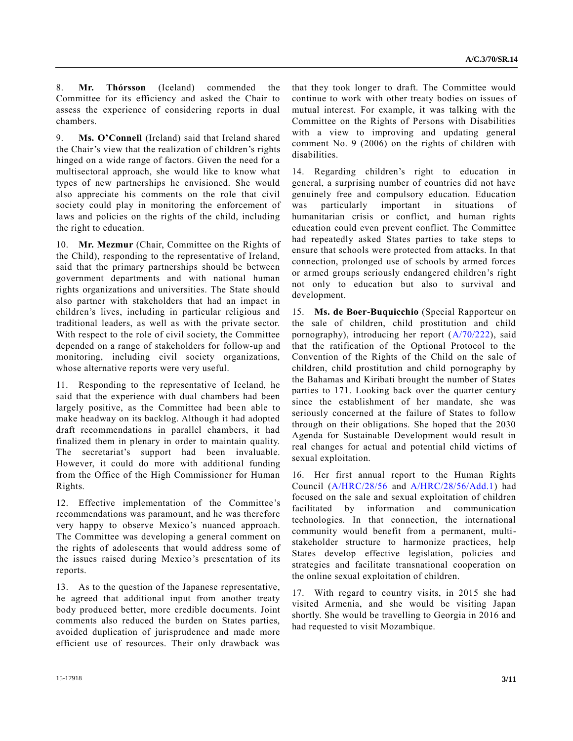8. **Mr. Thórsson** (Iceland) commended the Committee for its efficiency and asked the Chair to assess the experience of considering reports in dual chambers.

9. **Ms. O'Connell** (Ireland) said that Ireland shared the Chair's view that the realization of children's rights hinged on a wide range of factors. Given the need for a multisectoral approach, she would like to know what types of new partnerships he envisioned. She would also appreciate his comments on the role that civil society could play in monitoring the enforcement of laws and policies on the rights of the child, including the right to education.

10. **Mr. Mezmur** (Chair, Committee on the Rights of the Child), responding to the representative of Ireland, said that the primary partnerships should be between government departments and with national human rights organizations and universities. The State should also partner with stakeholders that had an impact in children's lives, including in particular religious and traditional leaders, as well as with the private sector. With respect to the role of civil society, the Committee depended on a range of stakeholders for follow-up and monitoring, including civil society organizations, whose alternative reports were very useful.

11. Responding to the representative of Iceland, he said that the experience with dual chambers had been largely positive, as the Committee had been able to make headway on its backlog. Although it had adopted draft recommendations in parallel chambers, it had finalized them in plenary in order to maintain quality. The secretariat's support had been invaluable. However, it could do more with additional funding from the Office of the High Commissioner for Human Rights.

12. Effective implementation of the Committee's recommendations was paramount, and he was therefore very happy to observe Mexico's nuanced approach. The Committee was developing a general comment on the rights of adolescents that would address some of the issues raised during Mexico's presentation of its reports.

13. As to the question of the Japanese representative, he agreed that additional input from another treaty body produced better, more credible documents. Joint comments also reduced the burden on States parties, avoided duplication of jurisprudence and made more efficient use of resources. Their only drawback was

that they took longer to draft. The Committee would continue to work with other treaty bodies on issues of mutual interest. For example, it was talking with the Committee on the Rights of Persons with Disabilities with a view to improving and updating general comment No. 9 (2006) on the rights of children with disabilities.

14. Regarding children's right to education in general, a surprising number of countries did not have genuinely free and compulsory education. Education was particularly important in situations of humanitarian crisis or conflict, and human rights education could even prevent conflict. The Committee had repeatedly asked States parties to take steps to ensure that schools were protected from attacks. In that connection, prolonged use of schools by armed forces or armed groups seriously endangered children's right not only to education but also to survival and development.

15. **Ms. de Boer-Buquicchio** (Special Rapporteur on the sale of children, child prostitution and child pornography), introducing her report [\(A/70/222\)](http://undocs.org/A/70/222), said that the ratification of the Optional Protocol to the Convention of the Rights of the Child on the sale of children, child prostitution and child pornography by the Bahamas and Kiribati brought the number of States parties to 171. Looking back over the quarter century since the establishment of her mandate, she was seriously concerned at the failure of States to follow through on their obligations. She hoped that the 2030 Agenda for Sustainable Development would result in real changes for actual and potential child victims of sexual exploitation.

16. Her first annual report to the Human Rights Council [\(A/HRC/28/56](http://undocs.org/A/HRC/28/56) and [A/HRC/28/56/Add.1\)](http://undocs.org/A/HRC/28/56/Add.1) had focused on the sale and sexual exploitation of children facilitated by information and communication technologies. In that connection, the international community would benefit from a permanent, multistakeholder structure to harmonize practices, help States develop effective legislation, policies and strategies and facilitate transnational cooperation on the online sexual exploitation of children.

17. With regard to country visits, in 2015 she had visited Armenia, and she would be visiting Japan shortly. She would be travelling to Georgia in 2016 and had requested to visit Mozambique.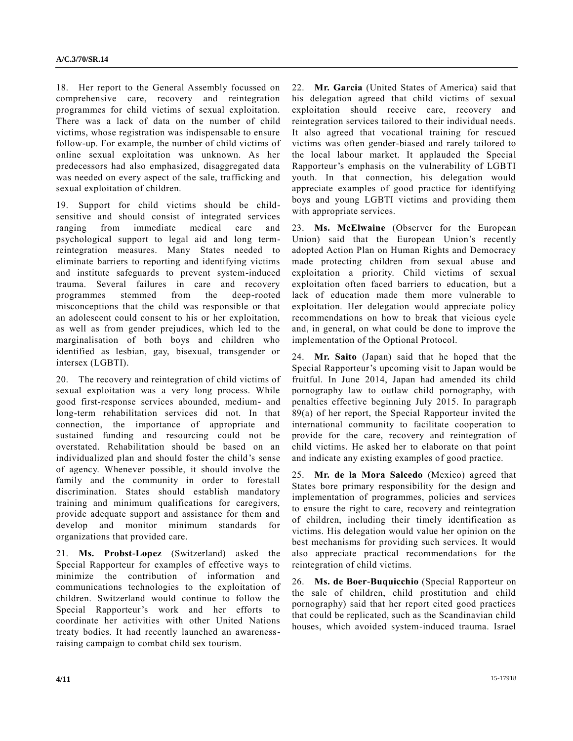18. Her report to the General Assembly focussed on comprehensive care, recovery and reintegration programmes for child victims of sexual exploitation. There was a lack of data on the number of child victims, whose registration was indispensable to ensure follow-up. For example, the number of child victims of online sexual exploitation was unknown. As her predecessors had also emphasized, disaggregated data was needed on every aspect of the sale, trafficking and sexual exploitation of children.

19. Support for child victims should be childsensitive and should consist of integrated services ranging from immediate medical care and psychological support to legal aid and long termreintegration measures. Many States needed to eliminate barriers to reporting and identifying victims and institute safeguards to prevent system-induced trauma. Several failures in care and recovery programmes stemmed from the deep-rooted misconceptions that the child was responsible or that an adolescent could consent to his or her exploitation, as well as from gender prejudices, which led to the marginalisation of both boys and children who identified as lesbian, gay, bisexual, transgender or intersex (LGBTI).

20. The recovery and reintegration of child victims of sexual exploitation was a very long process. While good first-response services abounded, medium- and long-term rehabilitation services did not. In that connection, the importance of appropriate and sustained funding and resourcing could not be overstated. Rehabilitation should be based on an individualized plan and should foster the child's sense of agency. Whenever possible, it should involve the family and the community in order to forestall discrimination. States should establish mandatory training and minimum qualifications for caregivers, provide adequate support and assistance for them and develop and monitor minimum standards for organizations that provided care.

21. **Ms. Probst-Lopez** (Switzerland) asked the Special Rapporteur for examples of effective ways to minimize the contribution of information and communications technologies to the exploitation of children. Switzerland would continue to follow the Special Rapporteur's work and her efforts to coordinate her activities with other United Nations treaty bodies. It had recently launched an awarenessraising campaign to combat child sex tourism.

22. **Mr. Garcia** (United States of America) said that his delegation agreed that child victims of sexual exploitation should receive care, recovery and reintegration services tailored to their individual needs. It also agreed that vocational training for rescued victims was often gender-biased and rarely tailored to the local labour market. It applauded the Special Rapporteur's emphasis on the vulnerability of LGBTI youth. In that connection, his delegation would appreciate examples of good practice for identifying boys and young LGBTI victims and providing them with appropriate services.

23. **Ms. McElwaine** (Observer for the European Union) said that the European Union's recently adopted Action Plan on Human Rights and Democracy made protecting children from sexual abuse and exploitation a priority. Child victims of sexual exploitation often faced barriers to education, but a lack of education made them more vulnerable to exploitation. Her delegation would appreciate policy recommendations on how to break that vicious cycle and, in general, on what could be done to improve the implementation of the Optional Protocol.

24. **Mr. Saito** (Japan) said that he hoped that the Special Rapporteur's upcoming visit to Japan would be fruitful. In June 2014, Japan had amended its child pornography law to outlaw child pornography, with penalties effective beginning July 2015. In paragraph 89(a) of her report, the Special Rapporteur invited the international community to facilitate cooperation to provide for the care, recovery and reintegration of child victims. He asked her to elaborate on that point and indicate any existing examples of good practice.

25. **Mr. de la Mora Salcedo** (Mexico) agreed that States bore primary responsibility for the design and implementation of programmes, policies and services to ensure the right to care, recovery and reintegration of children, including their timely identification as victims. His delegation would value her opinion on the best mechanisms for providing such services. It would also appreciate practical recommendations for the reintegration of child victims.

26. **Ms. de Boer-Buquicchio** (Special Rapporteur on the sale of children, child prostitution and child pornography) said that her report cited good practices that could be replicated, such as the Scandinavian child houses, which avoided system-induced trauma. Israel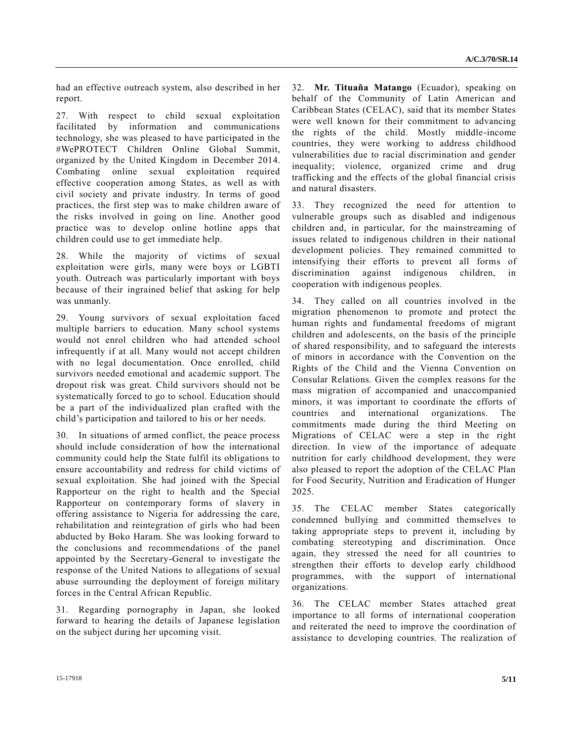had an effective outreach system, also described in her report.

27. With respect to child sexual exploitation facilitated by information and communications technology, she was pleased to have participated in the #WePROTECT Children Online Global Summit, organized by the United Kingdom in December 2014. Combating online sexual exploitation required effective cooperation among States, as well as with civil society and private industry. In terms of good practices, the first step was to make children aware of the risks involved in going on line. Another good practice was to develop online hotline apps that children could use to get immediate help.

28. While the majority of victims of sexual exploitation were girls, many were boys or LGBTI youth. Outreach was particularly important with boys because of their ingrained belief that asking for help was unmanly.

29. Young survivors of sexual exploitation faced multiple barriers to education. Many school systems would not enrol children who had attended school infrequently if at all. Many would not accept children with no legal documentation. Once enrolled, child survivors needed emotional and academic support. The dropout risk was great. Child survivors should not be systematically forced to go to school. Education should be a part of the individualized plan crafted with the child's participation and tailored to his or her needs.

30. In situations of armed conflict, the peace process should include consideration of how the international community could help the State fulfil its obligations to ensure accountability and redress for child victims of sexual exploitation. She had joined with the Special Rapporteur on the right to health and the Special Rapporteur on contemporary forms of slavery in offering assistance to Nigeria for addressing the care, rehabilitation and reintegration of girls who had been abducted by Boko Haram. She was looking forward to the conclusions and recommendations of the panel appointed by the Secretary-General to investigate the response of the United Nations to allegations of sexual abuse surrounding the deployment of foreign military forces in the Central African Republic.

31. Regarding pornography in Japan, she looked forward to hearing the details of Japanese legislation on the subject during her upcoming visit.

32. **Mr. Tituaña Matango** (Ecuador), speaking on behalf of the Community of Latin American and Caribbean States (CELAC), said that its member States were well known for their commitment to advancing the rights of the child. Mostly middle-income countries, they were working to address childhood vulnerabilities due to racial discrimination and gender inequality; violence, organized crime and drug trafficking and the effects of the global financial crisis and natural disasters.

33. They recognized the need for attention to vulnerable groups such as disabled and indigenous children and, in particular, for the mainstreaming of issues related to indigenous children in their national development policies. They remained committed to intensifying their efforts to prevent all forms of discrimination against indigenous children, in cooperation with indigenous peoples.

34. They called on all countries involved in the migration phenomenon to promote and protect the human rights and fundamental freedoms of migrant children and adolescents, on the basis of the principle of shared responsibility, and to safeguard the interests of minors in accordance with the Convention on the Rights of the Child and the Vienna Convention on Consular Relations. Given the complex reasons for the mass migration of accompanied and unaccompanied minors, it was important to coordinate the efforts of countries and international organizations. The commitments made during the third Meeting on Migrations of CELAC were a step in the right direction. In view of the importance of adequate nutrition for early childhood development, they were also pleased to report the adoption of the CELAC Plan for Food Security, Nutrition and Eradication of Hunger 2025.

35. The CELAC member States categorically condemned bullying and committed themselves to taking appropriate steps to prevent it, including by combating stereotyping and discrimination. Once again, they stressed the need for all countries to strengthen their efforts to develop early childhood programmes, with the support of international organizations.

36. The CELAC member States attached great importance to all forms of international cooperation and reiterated the need to improve the coordination of assistance to developing countries. The realization of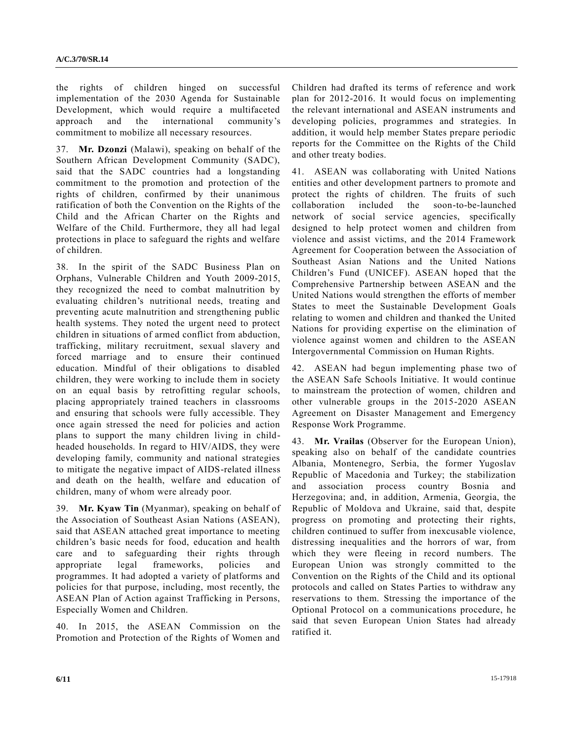the rights of children hinged on successful implementation of the 2030 Agenda for Sustainable Development, which would require a multifaceted approach and the international community's commitment to mobilize all necessary resources.

37. **Mr. Dzonzi** (Malawi), speaking on behalf of the Southern African Development Community (SADC), said that the SADC countries had a longstanding commitment to the promotion and protection of the rights of children, confirmed by their unanimous ratification of both the Convention on the Rights of the Child and the African Charter on the Rights and Welfare of the Child. Furthermore, they all had legal protections in place to safeguard the rights and welfare of children.

38. In the spirit of the SADC Business Plan on Orphans, Vulnerable Children and Youth 2009-2015, they recognized the need to combat malnutrition by evaluating children's nutritional needs, treating and preventing acute malnutrition and strengthening public health systems. They noted the urgent need to protect children in situations of armed conflict from abduction, trafficking, military recruitment, sexual slavery and forced marriage and to ensure their continued education. Mindful of their obligations to disabled children, they were working to include them in society on an equal basis by retrofitting regular schools, placing appropriately trained teachers in classrooms and ensuring that schools were fully accessible. They once again stressed the need for policies and action plans to support the many children living in childheaded households. In regard to HIV/AIDS, they were developing family, community and national strategies to mitigate the negative impact of AIDS-related illness and death on the health, welfare and education of children, many of whom were already poor.

39. **Mr. Kyaw Tin** (Myanmar), speaking on behalf of the Association of Southeast Asian Nations (ASEAN), said that ASEAN attached great importance to meeting children's basic needs for food, education and health care and to safeguarding their rights through appropriate legal frameworks, policies and programmes. It had adopted a variety of platforms and policies for that purpose, including, most recently, the ASEAN Plan of Action against Trafficking in Persons, Especially Women and Children.

40. In 2015, the ASEAN Commission on the Promotion and Protection of the Rights of Women and Children had drafted its terms of reference and work plan for 2012-2016. It would focus on implementing the relevant international and ASEAN instruments and developing policies, programmes and strategies. In addition, it would help member States prepare periodic reports for the Committee on the Rights of the Child and other treaty bodies.

41. ASEAN was collaborating with United Nations entities and other development partners to promote and protect the rights of children. The fruits of such collaboration included the soon-to-be-launched network of social service agencies, specifically designed to help protect women and children from violence and assist victims, and the 2014 Framework Agreement for Cooperation between the Association of Southeast Asian Nations and the United Nations Children's Fund (UNICEF). ASEAN hoped that the Comprehensive Partnership between ASEAN and the United Nations would strengthen the efforts of member States to meet the Sustainable Development Goals relating to women and children and thanked the United Nations for providing expertise on the elimination of violence against women and children to the ASEAN Intergovernmental Commission on Human Rights.

42. ASEAN had begun implementing phase two of the ASEAN Safe Schools Initiative. It would continue to mainstream the protection of women, children and other vulnerable groups in the 2015-2020 ASEAN Agreement on Disaster Management and Emergency Response Work Programme.

43. **Mr. Vrailas** (Observer for the European Union), speaking also on behalf of the candidate countries Albania, Montenegro, Serbia, the former Yugoslav Republic of Macedonia and Turkey; the stabilization and association process country Bosnia and Herzegovina; and, in addition, Armenia, Georgia, the Republic of Moldova and Ukraine, said that, despite progress on promoting and protecting their rights, children continued to suffer from inexcusable violence, distressing inequalities and the horrors of war, from which they were fleeing in record numbers. The European Union was strongly committed to the Convention on the Rights of the Child and its optional protocols and called on States Parties to withdraw any reservations to them. Stressing the importance of the Optional Protocol on a communications procedure, he said that seven European Union States had already ratified it.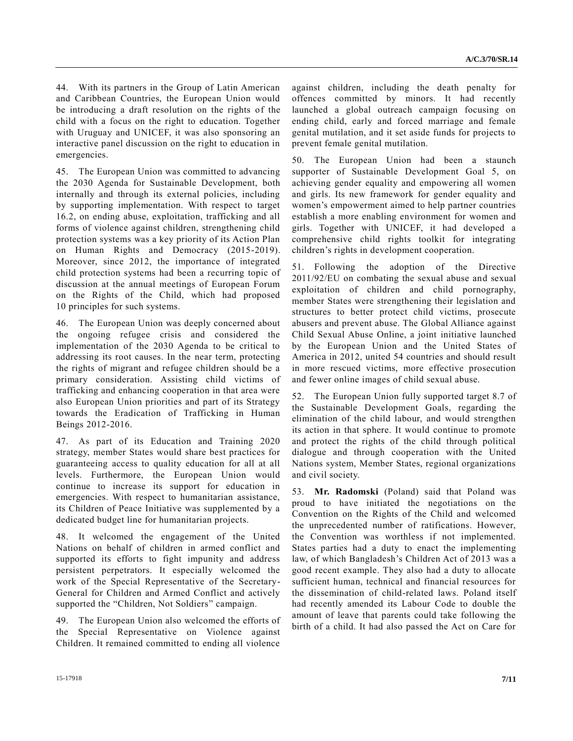44. With its partners in the Group of Latin American and Caribbean Countries, the European Union would be introducing a draft resolution on the rights of the child with a focus on the right to education. Together with Uruguay and UNICEF, it was also sponsoring an interactive panel discussion on the right to education in emergencies.

45. The European Union was committed to advancing the 2030 Agenda for Sustainable Development, both internally and through its external policies, including by supporting implementation. With respect to target 16.2, on ending abuse, exploitation, trafficking and all forms of violence against children, strengthening child protection systems was a key priority of its Action Plan on Human Rights and Democracy (2015-2019). Moreover, since 2012, the importance of integrated child protection systems had been a recurring topic of discussion at the annual meetings of European Forum on the Rights of the Child, which had proposed 10 principles for such systems.

46. The European Union was deeply concerned about the ongoing refugee crisis and considered the implementation of the 2030 Agenda to be critical to addressing its root causes. In the near term, protecting the rights of migrant and refugee children should be a primary consideration. Assisting child victims of trafficking and enhancing cooperation in that area were also European Union priorities and part of its Strategy towards the Eradication of Trafficking in Human Beings 2012-2016.

47. As part of its Education and Training 2020 strategy, member States would share best practices for guaranteeing access to quality education for all at all levels. Furthermore, the European Union would continue to increase its support for education in emergencies. With respect to humanitarian assistance, its Children of Peace Initiative was supplemented by a dedicated budget line for humanitarian projects.

48. It welcomed the engagement of the United Nations on behalf of children in armed conflict and supported its efforts to fight impunity and address persistent perpetrators. It especially welcomed the work of the Special Representative of the Secretary-General for Children and Armed Conflict and actively supported the "Children, Not Soldiers" campaign.

49. The European Union also welcomed the efforts of the Special Representative on Violence against Children. It remained committed to ending all violence

against children, including the death penalty for offences committed by minors. It had recently launched a global outreach campaign focusing on ending child, early and forced marriage and female genital mutilation, and it set aside funds for projects to prevent female genital mutilation.

50. The European Union had been a staunch supporter of Sustainable Development Goal 5, on achieving gender equality and empowering all women and girls. Its new framework for gender equality and women's empowerment aimed to help partner countries establish a more enabling environment for women and girls. Together with UNICEF, it had developed a comprehensive child rights toolkit for integrating children's rights in development cooperation.

51. Following the adoption of the Directive 2011/92/EU on combating the sexual abuse and sexual exploitation of children and child pornography, member States were strengthening their legislation and structures to better protect child victims, prosecute abusers and prevent abuse. The Global Alliance against Child Sexual Abuse Online, a joint initiative launched by the European Union and the United States of America in 2012, united 54 countries and should result in more rescued victims, more effective prosecution and fewer online images of child sexual abuse.

52. The European Union fully supported target 8.7 of the Sustainable Development Goals, regarding the elimination of the child labour, and would strengthen its action in that sphere. It would continue to promote and protect the rights of the child through political dialogue and through cooperation with the United Nations system, Member States, regional organizations and civil society.

53. **Mr. Radomski** (Poland) said that Poland was proud to have initiated the negotiations on the Convention on the Rights of the Child and welcomed the unprecedented number of ratifications. However, the Convention was worthless if not implemented. States parties had a duty to enact the implementing law, of which Bangladesh's Children Act of 2013 was a good recent example. They also had a duty to allocate sufficient human, technical and financial resources for the dissemination of child-related laws. Poland itself had recently amended its Labour Code to double the amount of leave that parents could take following the birth of a child. It had also passed the Act on Care for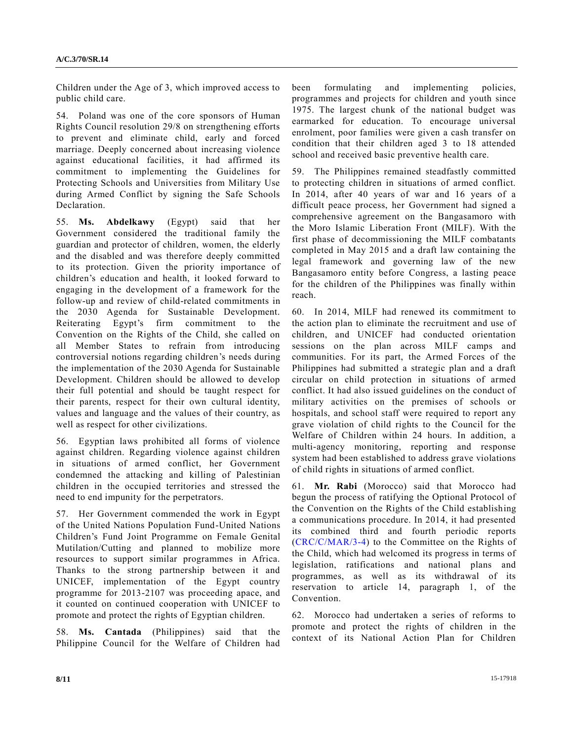Children under the Age of 3, which improved access to public child care.

54. Poland was one of the core sponsors of Human Rights Council resolution 29/8 on strengthening efforts to prevent and eliminate child, early and forced marriage. Deeply concerned about increasing violence against educational facilities, it had affirmed its commitment to implementing the Guidelines for Protecting Schools and Universities from Military Use during Armed Conflict by signing the Safe Schools Declaration.

55. **Ms. Abdelkawy** (Egypt) said that her Government considered the traditional family the guardian and protector of children, women, the elderly and the disabled and was therefore deeply committed to its protection. Given the priority importance of children's education and health, it looked forward to engaging in the development of a framework for the follow-up and review of child-related commitments in the 2030 Agenda for Sustainable Development. Reiterating Egypt's firm commitment to the Convention on the Rights of the Child, she called on all Member States to refrain from introducing controversial notions regarding children's needs during the implementation of the 2030 Agenda for Sustainable Development. Children should be allowed to develop their full potential and should be taught respect for their parents, respect for their own cultural identity, values and language and the values of their country, as well as respect for other civilizations.

56. Egyptian laws prohibited all forms of violence against children. Regarding violence against children in situations of armed conflict, her Government condemned the attacking and killing of Palestinian children in the occupied territories and stressed the need to end impunity for the perpetrators.

57. Her Government commended the work in Egypt of the United Nations Population Fund-United Nations Children's Fund Joint Programme on Female Genital Mutilation/Cutting and planned to mobilize more resources to support similar programmes in Africa. Thanks to the strong partnership between it and UNICEF, implementation of the Egypt country programme for 2013-2107 was proceeding apace, and it counted on continued cooperation with UNICEF to promote and protect the rights of Egyptian children.

58. **Ms. Cantada** (Philippines) said that the Philippine Council for the Welfare of Children had been formulating and implementing policies, programmes and projects for children and youth since 1975. The largest chunk of the national budget was earmarked for education. To encourage universal enrolment, poor families were given a cash transfer on condition that their children aged 3 to 18 attended school and received basic preventive health care.

59. The Philippines remained steadfastly committed to protecting children in situations of armed conflict. In 2014, after 40 years of war and 16 years of a difficult peace process, her Government had signed a comprehensive agreement on the Bangasamoro with the Moro Islamic Liberation Front (MILF). With the first phase of decommissioning the MILF combatants completed in May 2015 and a draft law containing the legal framework and governing law of the new Bangasamoro entity before Congress, a lasting peace for the children of the Philippines was finally within reach.

60. In 2014, MILF had renewed its commitment to the action plan to eliminate the recruitment and use of children, and UNICEF had conducted orientation sessions on the plan across MILF camps and communities. For its part, the Armed Forces of the Philippines had submitted a strategic plan and a draft circular on child protection in situations of armed conflict. It had also issued guidelines on the conduct of military activities on the premises of schools or hospitals, and school staff were required to report any grave violation of child rights to the Council for the Welfare of Children within 24 hours. In addition, a multi-agency monitoring, reporting and response system had been established to address grave violations of child rights in situations of armed conflict.

61. **Mr. Rabi** (Morocco) said that Morocco had begun the process of ratifying the Optional Protocol of the Convention on the Rights of the Child establishing a communications procedure. In 2014, it had presented its combined third and fourth periodic reports [\(CRC/C/MAR/3-4\)](http://undocs.org/CRC/C/MAR/3) to the Committee on the Rights of the Child, which had welcomed its progress in terms of legislation, ratifications and national plans and programmes, as well as its withdrawal of its reservation to article 14, paragraph 1, of the Convention.

62. Morocco had undertaken a series of reforms to promote and protect the rights of children in the context of its National Action Plan for Children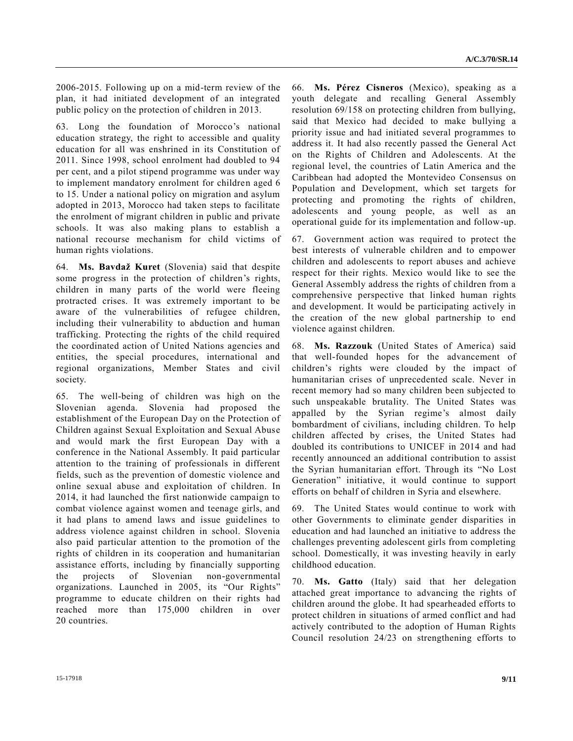2006-2015. Following up on a mid-term review of the plan, it had initiated development of an integrated public policy on the protection of children in 2013.

63. Long the foundation of Morocco's national education strategy, the right to accessible and quality education for all was enshrined in its Constitution of 2011. Since 1998, school enrolment had doubled to 94 per cent, and a pilot stipend programme was under way to implement mandatory enrolment for children aged 6 to 15. Under a national policy on migration and asylum adopted in 2013, Morocco had taken steps to facilitate the enrolment of migrant children in public and private schools. It was also making plans to establish a national recourse mechanism for child victims of human rights violations.

64. **Ms. Bavdaž Kuret** (Slovenia) said that despite some progress in the protection of children's rights, children in many parts of the world were fleeing protracted crises. It was extremely important to be aware of the vulnerabilities of refugee children, including their vulnerability to abduction and human trafficking. Protecting the rights of the child required the coordinated action of United Nations agencies and entities, the special procedures, international and regional organizations, Member States and civil society.

65. The well-being of children was high on the Slovenian agenda. Slovenia had proposed the establishment of the European Day on the Protection of Children against Sexual Exploitation and Sexual Abuse and would mark the first European Day with a conference in the National Assembly. It paid particular attention to the training of professionals in different fields, such as the prevention of domestic violence and online sexual abuse and exploitation of children. In 2014, it had launched the first nationwide campaign to combat violence against women and teenage girls, and it had plans to amend laws and issue guidelines to address violence against children in school. Slovenia also paid particular attention to the promotion of the rights of children in its cooperation and humanitarian assistance efforts, including by financially supporting the projects of Slovenian non-governmental organizations. Launched in 2005, its "Our Rights" programme to educate children on their rights had reached more than 175,000 children in over 20 countries.

66. **Ms. Pérez Cisneros** (Mexico), speaking as a youth delegate and recalling General Assembly resolution 69/158 on protecting children from bullying, said that Mexico had decided to make bullying a priority issue and had initiated several programmes to address it. It had also recently passed the General Act on the Rights of Children and Adolescents. At the regional level, the countries of Latin America and the Caribbean had adopted the Montevideo Consensus on Population and Development, which set targets for protecting and promoting the rights of children, adolescents and young people, as well as an operational guide for its implementation and follow-up.

67. Government action was required to protect the best interests of vulnerable children and to empower children and adolescents to report abuses and achieve respect for their rights. Mexico would like to see the General Assembly address the rights of children from a comprehensive perspective that linked human rights and development. It would be participating actively in the creation of the new global partnership to end violence against children.

68. **Ms. Razzouk** (United States of America) said that well-founded hopes for the advancement of children's rights were clouded by the impact of humanitarian crises of unprecedented scale. Never in recent memory had so many children been subjected to such unspeakable brutality. The United States was appalled by the Syrian regime's almost daily bombardment of civilians, including children. To help children affected by crises, the United States had doubled its contributions to UNICEF in 2014 and had recently announced an additional contribution to assist the Syrian humanitarian effort. Through its "No Lost Generation" initiative, it would continue to support efforts on behalf of children in Syria and elsewhere.

69. The United States would continue to work with other Governments to eliminate gender disparities in education and had launched an initiative to address the challenges preventing adolescent girls from completing school. Domestically, it was investing heavily in early childhood education.

70. **Ms. Gatto** (Italy) said that her delegation attached great importance to advancing the rights of children around the globe. It had spearheaded efforts to protect children in situations of armed conflict and had actively contributed to the adoption of Human Rights Council resolution 24/23 on strengthening efforts to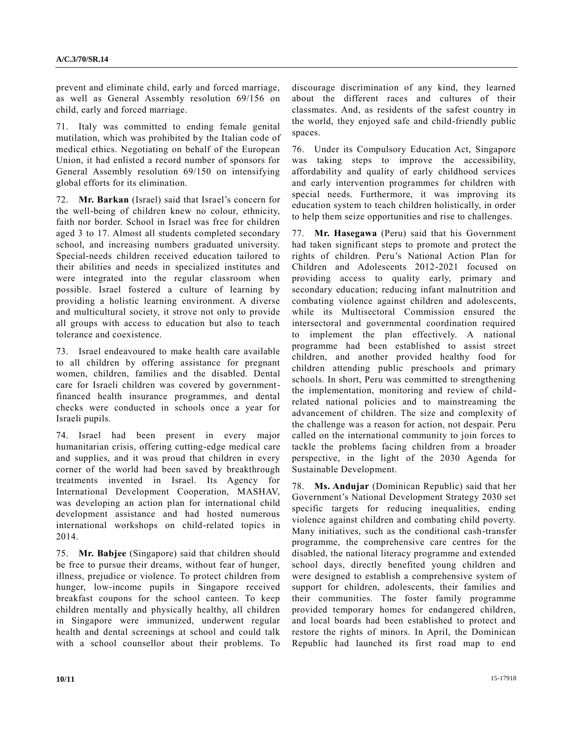prevent and eliminate child, early and forced marriage, as well as General Assembly resolution 69/156 on child, early and forced marriage.

71. Italy was committed to ending female genital mutilation, which was prohibited by the Italian code of medical ethics. Negotiating on behalf of the European Union, it had enlisted a record number of sponsors for General Assembly resolution 69/150 on intensifying global efforts for its elimination.

72. **Mr. Barkan** (Israel) said that Israel's concern for the well-being of children knew no colour, ethnicity, faith nor border. School in Israel was free for children aged 3 to 17. Almost all students completed secondary school, and increasing numbers graduated university. Special-needs children received education tailored to their abilities and needs in specialized institutes and were integrated into the regular classroom when possible. Israel fostered a culture of learning by providing a holistic learning environment. A diverse and multicultural society, it strove not only to provide all groups with access to education but also to teach tolerance and coexistence.

73. Israel endeavoured to make health care available to all children by offering assistance for pregnant women, children, families and the disabled. Dental care for Israeli children was covered by governmentfinanced health insurance programmes, and dental checks were conducted in schools once a year for Israeli pupils.

74. Israel had been present in every major humanitarian crisis, offering cutting-edge medical care and supplies, and it was proud that children in every corner of the world had been saved by breakthrough treatments invented in Israel. Its Agency for International Development Cooperation, MASHAV, was developing an action plan for international child development assistance and had hosted numerous international workshops on child-related topics in 2014.

75. **Mr. Babjee** (Singapore) said that children should be free to pursue their dreams, without fear of hunger, illness, prejudice or violence. To protect children from hunger, low-income pupils in Singapore received breakfast coupons for the school canteen. To keep children mentally and physically healthy, all children in Singapore were immunized, underwent regular health and dental screenings at school and could talk with a school counsellor about their problems. To discourage discrimination of any kind, they learned about the different races and cultures of their classmates. And, as residents of the safest country in the world, they enjoyed safe and child-friendly public spaces.

76. Under its Compulsory Education Act, Singapore was taking steps to improve the accessibility, affordability and quality of early childhood services and early intervention programmes for children with special needs. Furthermore, it was improving its education system to teach children holistically, in order to help them seize opportunities and rise to challenges.

77. **Mr. Hasegawa** (Peru) said that his Government had taken significant steps to promote and protect the rights of children. Peru's National Action Plan for Children and Adolescents 2012-2021 focused on providing access to quality early, primary and secondary education; reducing infant malnutrition and combating violence against children and adolescents, while its Multisectoral Commission ensured the intersectoral and governmental coordination required to implement the plan effectively. A national programme had been established to assist street children, and another provided healthy food for children attending public preschools and primary schools. In short, Peru was committed to strengthening the implementation, monitoring and review of childrelated national policies and to mainstreaming the advancement of children. The size and complexity of the challenge was a reason for action, not despair. Peru called on the international community to join forces to tackle the problems facing children from a broader perspective, in the light of the 2030 Agenda for Sustainable Development.

78. **Ms. Andujar** (Dominican Republic) said that her Government's National Development Strategy 2030 set specific targets for reducing inequalities, ending violence against children and combating child poverty. Many initiatives, such as the conditional cash-transfer programme, the comprehensive care centres for the disabled, the national literacy programme and extended school days, directly benefited young children and were designed to establish a comprehensive system of support for children, adolescents, their families and their communities. The foster family programme provided temporary homes for endangered children, and local boards had been established to protect and restore the rights of minors. In April, the Dominican Republic had launched its first road map to end